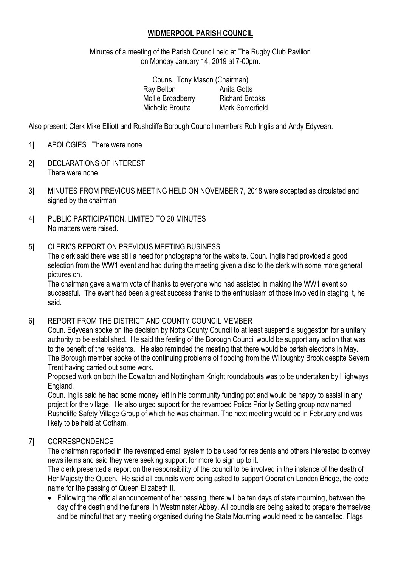### **WIDMERPOOL PARISH COUNCIL**

Minutes of a meeting of the Parish Council held at The Rugby Club Pavilion on Monday January 14, 2019 at 7-00pm.

| Couns. Tony Mason (Chairman) |                       |
|------------------------------|-----------------------|
| Ray Belton                   | Anita Gotts           |
| Mollie Broadberry            | <b>Richard Brooks</b> |
| Michelle Broutta             | Mark Somerfield       |
|                              |                       |

Also present: Clerk Mike Elliott and Rushcliffe Borough Council members Rob Inglis and Andy Edyvean.

- 1] APOLOGIES There were none
- 2] DECLARATIONS OF INTEREST There were none
- 3] MINUTES FROM PREVIOUS MEETING HELD ON NOVEMBER 7, 2018 were accepted as circulated and signed by the chairman
- 4] PUBLIC PARTICIPATION, LIMITED TO 20 MINUTES No matters were raised.
- 5] CLERK'S REPORT ON PREVIOUS MEETING BUSINESS

The clerk said there was still a need for photographs for the website. Coun. Inglis had provided a good selection from the WW1 event and had during the meeting given a disc to the clerk with some more general pictures on.

The chairman gave a warm vote of thanks to everyone who had assisted in making the WW1 event so successful. The event had been a great success thanks to the enthusiasm of those involved in staging it, he said.

6] REPORT FROM THE DISTRICT AND COUNTY COUNCIL MEMBER

Coun. Edyvean spoke on the decision by Notts County Council to at least suspend a suggestion for a unitary authority to be established. He said the feeling of the Borough Council would be support any action that was to the benefit of the residents. He also reminded the meeting that there would be parish elections in May. The Borough member spoke of the continuing problems of flooding from the Willoughby Brook despite Severn Trent having carried out some work.

Proposed work on both the Edwalton and Nottingham Knight roundabouts was to be undertaken by Highways England.

Coun. Inglis said he had some money left in his community funding pot and would be happy to assist in any project for the village. He also urged support for the revamped Police Priority Setting group now named Rushcliffe Safety Village Group of which he was chairman. The next meeting would be in February and was likely to be held at Gotham.

### 7] CORRESPONDENCE

The chairman reported in the revamped email system to be used for residents and others interested to convey news items and said they were seeking support for more to sign up to it.

The clerk presented a report on the responsibility of the council to be involved in the instance of the death of Her Majesty the Queen. He said all councils were being asked to support Operation London Bridge, the code name for the passing of Queen Elizabeth II.

• Following the official announcement of her passing, there will be ten days of state mourning, between the day of the death and the funeral in Westminster Abbey. All councils are being asked to prepare themselves and be mindful that any meeting organised during the State Mourning would need to be cancelled. Flags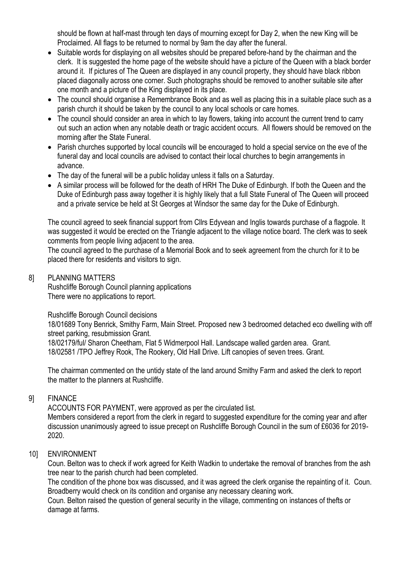should be flown at half-mast through ten days of mourning except for Day 2, when the new King will be Proclaimed. All flags to be returned to normal by 9am the day after the funeral.

- Suitable words for displaying on all websites should be prepared before-hand by the chairman and the clerk. It is suggested the home page of the website should have a picture of the Queen with a black border around it. If pictures of The Queen are displayed in any council property, they should have black ribbon placed diagonally across one corner. Such photographs should be removed to another suitable site after one month and a picture of the King displayed in its place.
- The council should organise a Remembrance Book and as well as placing this in a suitable place such as a parish church it should be taken by the council to any local schools or care homes.
- The council should consider an area in which to lay flowers, taking into account the current trend to carry out such an action when any notable death or tragic accident occurs. All flowers should be removed on the morning after the State Funeral.
- Parish churches supported by local councils will be encouraged to hold a special service on the eve of the funeral day and local councils are advised to contact their local churches to begin arrangements in advance.
- The day of the funeral will be a public holiday unless it falls on a Saturday.
- A similar process will be followed for the death of HRH The Duke of Edinburgh. If both the Queen and the Duke of Edinburgh pass away together it is highly likely that a full State Funeral of The Queen will proceed and a private service be held at St Georges at Windsor the same day for the Duke of Edinburgh.

The council agreed to seek financial support from Cllrs Edyvean and Inglis towards purchase of a flagpole. It was suggested it would be erected on the Triangle adjacent to the village notice board. The clerk was to seek comments from people living adjacent to the area.

The council agreed to the purchase of a Memorial Book and to seek agreement from the church for it to be placed there for residents and visitors to sign.

### 8] PLANNING MATTERS

Rushcliffe Borough Council planning applications There were no applications to report.

Rushcliffe Borough Council decisions

18/01689 Tony Benrick, Smithy Farm, Main Street. Proposed new 3 bedroomed detached eco dwelling with off street parking, resubmission Grant.

18/02179/ful/ Sharon Cheetham, Flat 5 Widmerpool Hall. Landscape walled garden area. Grant. 18/02581 /TPO Jeffrey Rook, The Rookery, Old Hall Drive. Lift canopies of seven trees. Grant.

The chairman commented on the untidy state of the land around Smithy Farm and asked the clerk to report the matter to the planners at Rushcliffe.

## 9] FINANCE

ACCOUNTS FOR PAYMENT, were approved as per the circulated list. Members considered a report from the clerk in regard to suggested expenditure for the coming year and after discussion unanimously agreed to issue precept on Rushcliffe Borough Council in the sum of £6036 for 2019- 2020.

### 10] ENVIRONMENT

Coun. Belton was to check if work agreed for Keith Wadkin to undertake the removal of branches from the ash tree near to the parish church had been completed.

The condition of the phone box was discussed, and it was agreed the clerk organise the repainting of it. Coun. Broadberry would check on its condition and organise any necessary cleaning work.

Coun. Belton raised the question of general security in the village, commenting on instances of thefts or damage at farms.